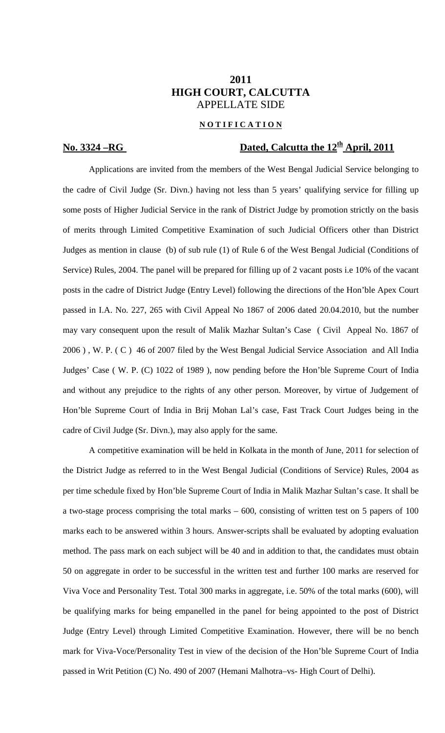### **2011 HIGH COURT, CALCUTTA**  APPELLATE SIDE

### **N O T I F I C A T I O N**

# **No. 3324 – RG** Dated, Calcutta the 12<sup>th</sup> April, 2011

Applications are invited from the members of the West Bengal Judicial Service belonging to the cadre of Civil Judge (Sr. Divn.) having not less than 5 years' qualifying service for filling up some posts of Higher Judicial Service in the rank of District Judge by promotion strictly on the basis of merits through Limited Competitive Examination of such Judicial Officers other than District Judges as mention in clause (b) of sub rule (1) of Rule 6 of the West Bengal Judicial (Conditions of Service) Rules, 2004. The panel will be prepared for filling up of 2 vacant posts i.e 10% of the vacant posts in the cadre of District Judge (Entry Level) following the directions of the Hon'ble Apex Court passed in I.A. No. 227, 265 with Civil Appeal No 1867 of 2006 dated 20.04.2010, but the number may vary consequent upon the result of Malik Mazhar Sultan's Case ( Civil Appeal No. 1867 of 2006 ) , W. P. ( C ) 46 of 2007 filed by the West Bengal Judicial Service Association and All India Judges' Case ( W. P. (C) 1022 of 1989 ), now pending before the Hon'ble Supreme Court of India and without any prejudice to the rights of any other person. Moreover, by virtue of Judgement of Hon'ble Supreme Court of India in Brij Mohan Lal's case, Fast Track Court Judges being in the cadre of Civil Judge (Sr. Divn.), may also apply for the same.

 A competitive examination will be held in Kolkata in the month of June, 2011 for selection of the District Judge as referred to in the West Bengal Judicial (Conditions of Service) Rules, 2004 as per time schedule fixed by Hon'ble Supreme Court of India in Malik Mazhar Sultan's case. It shall be a two-stage process comprising the total marks – 600, consisting of written test on 5 papers of 100 marks each to be answered within 3 hours. Answer-scripts shall be evaluated by adopting evaluation method. The pass mark on each subject will be 40 and in addition to that, the candidates must obtain 50 on aggregate in order to be successful in the written test and further 100 marks are reserved for Viva Voce and Personality Test. Total 300 marks in aggregate, i.e. 50% of the total marks (600), will be qualifying marks for being empanelled in the panel for being appointed to the post of District Judge (Entry Level) through Limited Competitive Examination. However, there will be no bench mark for Viva-Voce/Personality Test in view of the decision of the Hon'ble Supreme Court of India passed in Writ Petition (C) No. 490 of 2007 (Hemani Malhotra–vs- High Court of Delhi).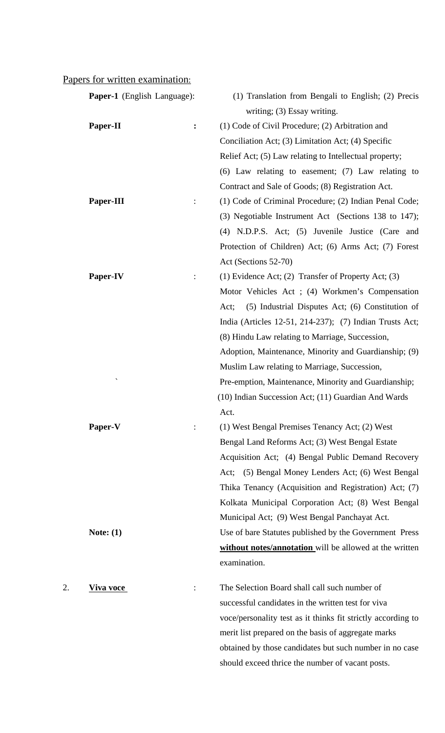# Papers for written examination:

|    | <b>Paper-1</b> (English Language): | (1) Translation from Bengali to English; (2) Precis          |
|----|------------------------------------|--------------------------------------------------------------|
|    |                                    | writing; (3) Essay writing.                                  |
|    | Paper-II<br>$\ddot{\cdot}$         | (1) Code of Civil Procedure; (2) Arbitration and             |
|    |                                    | Conciliation Act; (3) Limitation Act; (4) Specific           |
|    |                                    | Relief Act; (5) Law relating to Intellectual property;       |
|    |                                    | $(6)$ Law relating to easement; $(7)$ Law relating to        |
|    |                                    | Contract and Sale of Goods; (8) Registration Act.            |
|    | Paper-III<br>$\ddot{\cdot}$        | (1) Code of Criminal Procedure; (2) Indian Penal Code;       |
|    |                                    | (3) Negotiable Instrument Act (Sections 138 to 147);         |
|    |                                    | (4) N.D.P.S. Act; (5) Juvenile Justice (Care and             |
|    |                                    | Protection of Children) Act; (6) Arms Act; (7) Forest        |
|    |                                    | Act (Sections 52-70)                                         |
|    | Paper-IV<br>$\ddot{\cdot}$         | (1) Evidence Act; (2) Transfer of Property Act; (3)          |
|    |                                    | Motor Vehicles Act; (4) Workmen's Compensation               |
|    |                                    | (5) Industrial Disputes Act; (6) Constitution of<br>Act;     |
|    |                                    | India (Articles 12-51, 214-237); (7) Indian Trusts Act;      |
|    |                                    | (8) Hindu Law relating to Marriage, Succession,              |
|    |                                    | Adoption, Maintenance, Minority and Guardianship; (9)        |
|    |                                    | Muslim Law relating to Marriage, Succession,                 |
|    |                                    | Pre-emption, Maintenance, Minority and Guardianship;         |
|    |                                    | (10) Indian Succession Act; (11) Guardian And Wards          |
|    |                                    | Act.                                                         |
|    | Paper-V                            | (1) West Bengal Premises Tenancy Act; (2) West               |
|    |                                    | Bengal Land Reforms Act; (3) West Bengal Estate              |
|    |                                    | Acquisition Act; (4) Bengal Public Demand Recovery           |
|    |                                    | (5) Bengal Money Lenders Act; (6) West Bengal<br>Act;        |
|    |                                    | Thika Tenancy (Acquisition and Registration) Act; (7)        |
|    |                                    | Kolkata Municipal Corporation Act; (8) West Bengal           |
|    |                                    | Municipal Act; (9) West Bengal Panchayat Act.                |
|    | Note: $(1)$                        | Use of bare Statutes published by the Government Press       |
|    |                                    | without notes/annotation will be allowed at the written      |
|    |                                    | examination.                                                 |
|    |                                    |                                                              |
| 2. | Viva voce                          | The Selection Board shall call such number of                |
|    |                                    | successful candidates in the written test for viva           |
|    |                                    | voce/personality test as it thinks fit strictly according to |
|    |                                    | merit list prepared on the basis of aggregate marks          |
|    |                                    | obtained by those candidates but such number in no case      |

should exceed thrice the number of vacant posts.